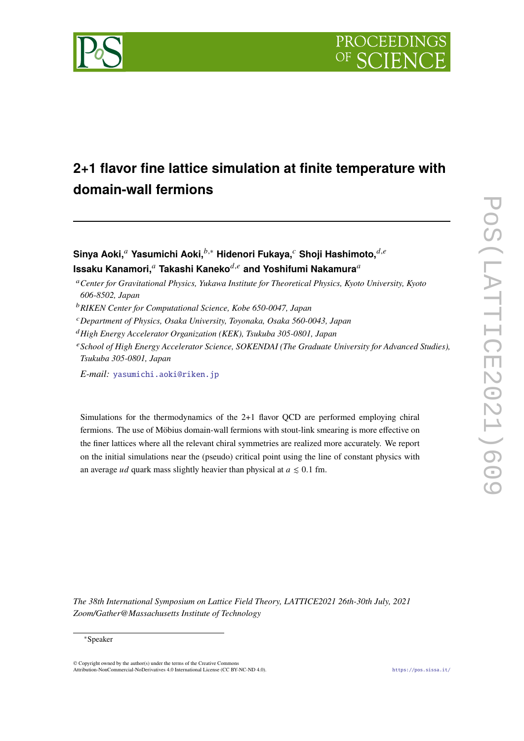



# **2+1 flavor fine lattice simulation at finite temperature with domain-wall fermions**

**Sinya Aoki,**<sup>*a*</sup> Yasumichi Aoki,<sup>*b*,∗</sup> Hidenori Fukaya,<sup>*c*</sup> Shoji Hashimoto,<sup>*d,e*</sup> **Issaku Kanamori,**<sup>a</sup> Takashi Kaneko<sup>d,e</sup> and Yoshifumi Nakamura<sup>a</sup>

- <sup>𝑎</sup>*Center for Gravitational Physics, Yukawa Institute for Theoretical Physics, Kyoto University, Kyoto 606-8502, Japan*
- <sup>𝑏</sup>*RIKEN Center for Computational Science, Kobe 650-0047, Japan*
- <sup>𝑐</sup>*Department of Physics, Osaka University, Toyonaka, Osaka 560-0043, Japan*
- <sup>𝑑</sup>*High Energy Accelerator Organization (KEK), Tsukuba 305-0801, Japan*
- <sup>𝑒</sup>*School of High Energy Accelerator Science, SOKENDAI (The Graduate University for Advanced Studies), Tsukuba 305-0801, Japan*

*E-mail:* [yasumichi.aoki@riken.jp](mailto:yasumichi.aoki@riken.jp)

Simulations for the thermodynamics of the 2+1 flavor QCD are performed employing chiral fermions. The use of Möbius domain-wall fermions with stout-link smearing is more effective on the finer lattices where all the relevant chiral symmetries are realized more accurately. We report on the initial simulations near the (pseudo) critical point using the line of constant physics with an average *ud* quark mass slightly heavier than physical at  $a \leq 0.1$  fm.

*The 38th International Symposium on Lattice Field Theory, LATTICE2021 26th-30th July, 2021 Zoom/Gather@Massachusetts Institute of Technology*

 $\odot$  Copyright owned by the author(s) under the terms of the Creative Common Attribution-NonCommercial-NoDerivatives 4.0 International License (CC BY-NC-ND 4.0). <https://pos.sissa.it/>

<sup>∗</sup>Speaker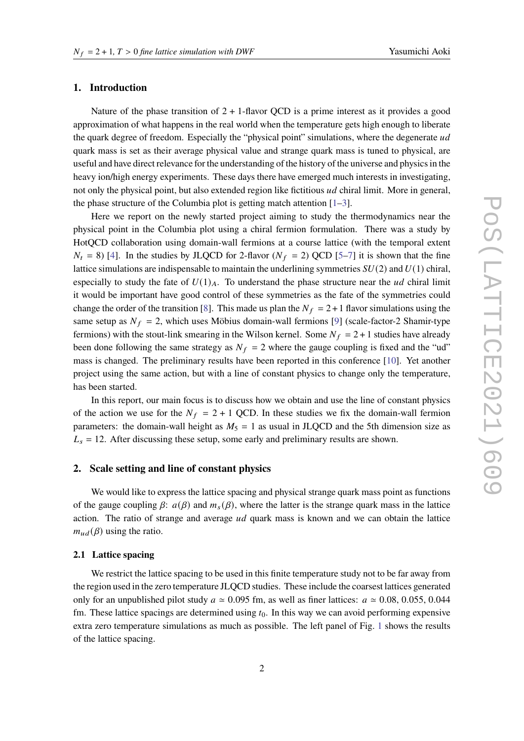## **1. Introduction**

Nature of the phase transition of  $2 + 1$ -flavor QCD is a prime interest as it provides a good approximation of what happens in the real world when the temperature gets high enough to liberate the quark degree of freedom. Especially the "physical point" simulations, where the degenerate ud quark mass is set as their average physical value and strange quark mass is tuned to physical, are useful and have direct relevance for the understanding of the history of the universe and physics in the heavy ion/high energy experiments. These days there have emerged much interests in investigating, not only the physical point, but also extended region like fictitious *ud* chiral limit. More in general, the phase structure of the Columbia plot is getting match attention [\[1–](#page-7-0)[3\]](#page-7-1).

Here we report on the newly started project aiming to study the thermodynamics near the physical point in the Columbia plot using a chiral fermion formulation. There was a study by HotQCD collaboration using domain-wall fermions at a course lattice (with the temporal extent  $N_t = 8$ ) [\[4\]](#page-7-2). In the studies by JLQCD for 2-flavor ( $N_f = 2$ ) QCD [\[5](#page-7-3)[–7\]](#page-7-4) it is shown that the fine lattice simulations are indispensable to maintain the underlining symmetries  $SU(2)$  and  $U(1)$  chiral, especially to study the fate of  $U(1)_A$ . To understand the phase structure near the  $ud$  chiral limit it would be important have good control of these symmetries as the fate of the symmetries could change the order of the transition [\[8\]](#page-7-5). This made us plan the  $N_f = 2 + 1$  flavor simulations using the same setup as  $N_f = 2$ , which uses Möbius domain-wall fermions [\[9\]](#page-7-6) (scale-factor-2 Shamir-type fermions) with the stout-link smearing in the Wilson kernel. Some  $N_f = 2 + 1$  studies have already been done following the same strategy as  $N_f = 2$  where the gauge coupling is fixed and the "ud" mass is changed. The preliminary results have been reported in this conference [\[10\]](#page-7-7). Yet another project using the same action, but with a line of constant physics to change only the temperature, has been started.

In this report, our main focus is to discuss how we obtain and use the line of constant physics of the action we use for the  $N_f = 2 + 1$  QCD. In these studies we fix the domain-wall fermion parameters: the domain-wall height as  $M_5 = 1$  as usual in JLQCD and the 5th dimension size as  $L_s = 12$ . After discussing these setup, some early and preliminary results are shown.

## **2. Scale setting and line of constant physics**

We would like to express the lattice spacing and physical strange quark mass point as functions of the gauge coupling  $\beta$ :  $a(\beta)$  and  $m_s(\beta)$ , where the latter is the strange quark mass in the lattice action. The ratio of strange and average  $ud$  quark mass is known and we can obtain the lattice  $m_{ud}(\beta)$  using the ratio.

### **2.1 Lattice spacing**

We restrict the lattice spacing to be used in this finite temperature study not to be far away from the region used in the zero temperature JLQCD studies. These include the coarsest lattices generated only for an unpublished pilot study  $a \approx 0.095$  fm, as well as finer lattices:  $a \approx 0.08, 0.055, 0.044$ fm. These lattice spacings are determined using  $t<sub>0</sub>$ . In this way we can avoid performing expensive extra zero temperature simulations as much as possible. The left panel of Fig. [1](#page-2-0) shows the results of the lattice spacing.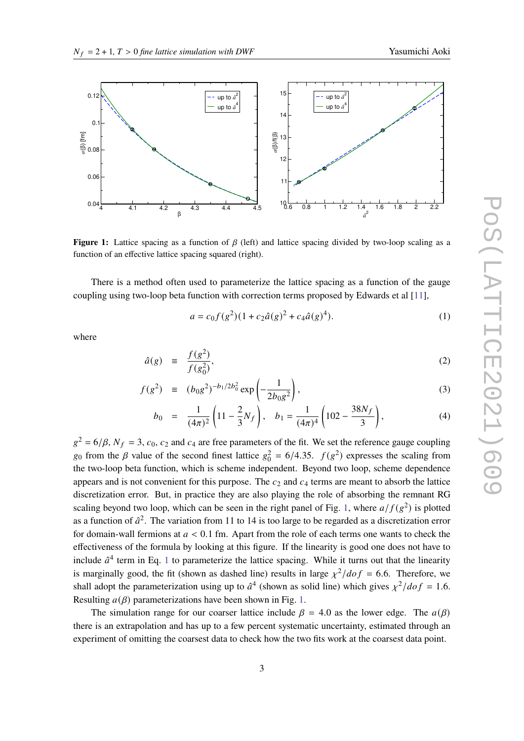<span id="page-2-0"></span>

**Figure 1:** Lattice spacing as a function of  $\beta$  (left) and lattice spacing divided by two-loop scaling as a function of an effective lattice spacing squared (right).

There is a method often used to parameterize the lattice spacing as a function of the gauge coupling using two-loop beta function with correction terms proposed by Edwards et al [\[11\]](#page-7-8),

<span id="page-2-1"></span>
$$
a = c_0 f(g^2)(1 + c_2 \hat{a}(g)^2 + c_4 \hat{a}(g)^4). \tag{1}
$$

where

$$
\hat{a}(g) \equiv \frac{f(g^2)}{f(g_0^2)},\tag{2}
$$

$$
f(g^2) \equiv (b_0 g^2)^{-b_1/2b_0^2} \exp\left(-\frac{1}{2b_0 g^2}\right),
$$
 (3)

$$
b_0 = \frac{1}{(4\pi)^2} \left( 11 - \frac{2}{3} N_f \right), \quad b_1 = \frac{1}{(4\pi)^4} \left( 102 - \frac{38N_f}{3} \right), \tag{4}
$$

 $g^2 = 6/\beta$ ,  $N_f = 3$ ,  $c_0$ ,  $c_2$  and  $c_4$  are free parameters of the fit. We set the reference gauge coupling  $g_0$  from the  $\beta$  value of the second finest lattice  $g_0^2 = 6/4.35$ .  $f(g^2)$  expresses the scaling from the two-loop beta function, which is scheme independent. Beyond two loop, scheme dependence appears and is not convenient for this purpose. The  $c_2$  and  $c_4$  terms are meant to absorb the lattice discretization error. But, in practice they are also playing the role of absorbing the remnant RG scaling beyond two loop, which can be seen in the right panel of Fig. [1,](#page-2-0) where  $a/f(g^2)$  is plotted as a function of  $\hat{a}^2$ . The variation from 11 to 14 is too large to be regarded as a discretization error for domain-wall fermions at  $a < 0.1$  fm. Apart from the role of each terms one wants to check the effectiveness of the formula by looking at this figure. If the linearity is good one does not have to include  $\hat{a}^4$  term in Eq. [1](#page-2-1) to parameterize the lattice spacing. While it turns out that the linearity is marginally good, the fit (shown as dashed line) results in large  $\chi^2/dof = 6.6$ . Therefore, we shall adopt the parameterization using up to  $\hat{a}^4$  (shown as solid line) which gives  $\chi^2/dof = 1.6$ . Resulting  $a(\beta)$  parameterizations have been shown in Fig. [1.](#page-2-0)

The simulation range for our coarser lattice include  $\beta = 4.0$  as the lower edge. The  $a(\beta)$ there is an extrapolation and has up to a few percent systematic uncertainty, estimated through an experiment of omitting the coarsest data to check how the two fits work at the coarsest data point.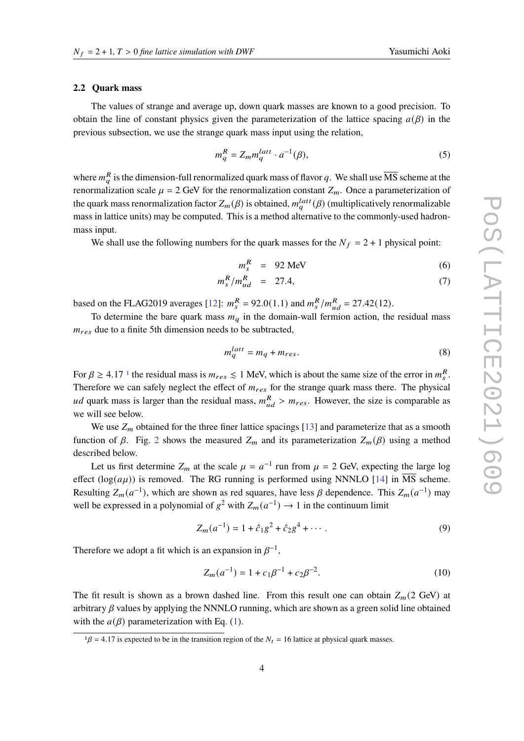#### **2.2 Quark mass**

The values of strange and average up, down quark masses are known to a good precision. To obtain the line of constant physics given the parameterization of the lattice spacing  $a(\beta)$  in the previous subsection, we use the strange quark mass input using the relation,

$$
m_q^R = Z_m m_q^{latt} \cdot a^{-1}(\beta),\tag{5}
$$

where  $m_a^R$  is the dimension-full renormalized quark mass of flavor q. We shall use  $\overline{\text{MS}}$  scheme at the renormalization scale  $\mu = 2$  GeV for the renormalization constant  $Z_m$ . Once a parameterization of the quark mass renormalization factor  $Z_m(\beta)$  is obtained,  $m_q^{latt}(\beta)$  (multiplicatively renormalizable mass in lattice units) may be computed. This is a method alternative to the commonly-used hadronmass input.

We shall use the following numbers for the quark masses for the  $N_f = 2 + 1$  physical point:

<span id="page-3-1"></span>
$$
m_s^R = 92 \text{ MeV} \tag{6}
$$

$$
m_s^R/m_{ud}^R = 27.4, \t\t(7)
$$

based on the FLAG2019 averages [\[12\]](#page-7-9):  $m_s^R = 92.0(1.1)$  and  $m_s^R/m_{ud}^R = 27.42(12)$ .

To determine the bare quark mass  $m_q$  in the domain-wall fermion action, the residual mass  $m_{res}$  due to a finite 5th dimension needs to be subtracted,

$$
m_q^{latt} = m_q + m_{res}.\tag{8}
$$

For  $\beta \ge 4.17$  $\beta \ge 4.17$  $\beta \ge 4.17$  <sup>1</sup> the residual mass is  $m_{res} \le 1$  MeV, which is about the same size of the error in  $m_s^R$ . Therefore we can safely neglect the effect of  $m_{res}$  for the strange quark mass there. The physical *ud* quark mass is larger than the residual mass,  $m_{ud}^R > m_{res}$ . However, the size is comparable as we will see below.

We use  $Z_m$  obtained for the three finer lattice spacings [\[13\]](#page-7-10) and parameterize that as a smooth function of  $\beta$ . Fig. [2](#page-4-0) shows the measured  $Z_m$  and its parameterization  $Z_m(\beta)$  using a method described below.

Let us first determine  $Z_m$  at the scale  $\mu = a^{-1}$  run from  $\mu = 2$  GeV, expecting the large log effect ( $log(a\mu)$ ) is removed. The RG running is performed using NNNLO [\[14\]](#page-8-0) in  $\overline{MS}$  scheme. Resulting  $Z_m(a^{-1})$ , which are shown as red squares, have less  $\beta$  dependence. This  $Z_m(a^{-1})$  may well be expressed in a polynomial of  $g^2$  with  $Z_m(a^{-1}) \to 1$  in the continuum limit

$$
Z_m(a^{-1}) = 1 + \hat{c}_1 g^2 + \hat{c}_2 g^4 + \cdots
$$
 (9)

Therefore we adopt a fit which is an expansion in  $\beta^{-1}$ .

$$
Z_m(a^{-1}) = 1 + c_1 \beta^{-1} + c_2 \beta^{-2}.
$$
 (10)

The fit result is shown as a brown dashed line. From this result one can obtain  $Z_m(2 \text{ GeV})$  at arbitrary  $\beta$  values by applying the NNNLO running, which are shown as a green solid line obtained with the  $a(\beta)$  parameterization with Eq. [\(1\)](#page-2-1).

<span id="page-3-0"></span> $1\beta = 4.17$  is expected to be in the transition region of the  $N_t = 16$  lattice at physical quark masses.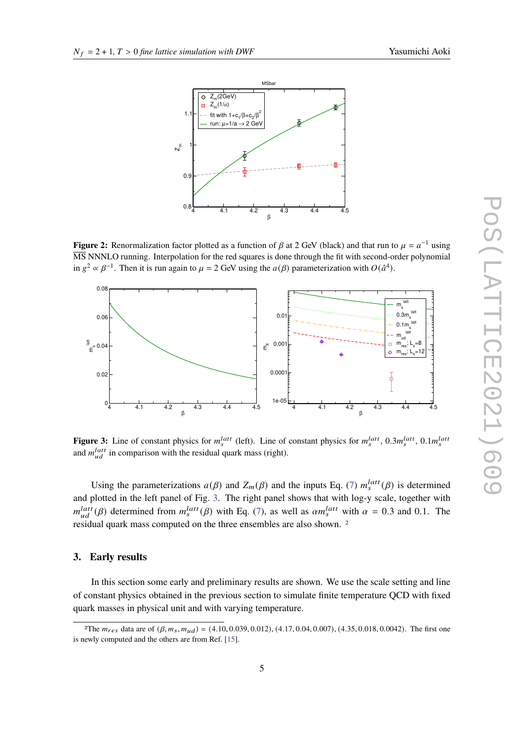

<span id="page-4-0"></span>

**Figure 2:** Renormalization factor plotted as a function of  $\beta$  at 2 GeV (black) and that run to  $\mu = a^{-1}$  using MS NNNLO running. Interpolation for the red squares is done through the fit with second-order polynomial in  $g^2 \propto \beta^{-1}$ . Then it is run again to  $\mu = 2$  GeV using the  $a(\beta)$  parameterization with  $O(\hat{a}^4)$ .

<span id="page-4-1"></span>

**Figure 3:** Line of constant physics for  $m_s^{latt}$  (left). Line of constant physics for  $m_s^{latt}$ , 0.3 $m_s^{latt}$ , 0.1 $m_s^{latt}$ and  $m_{ud}^{latt}$  in comparison with the residual quark mass (right).

Using the parameterizations  $a(\beta)$  and  $Z_m(\beta)$  and the inputs Eq. [\(7\)](#page-3-1)  $m_s^{latt}(\beta)$  is determined and plotted in the left panel of Fig. [3.](#page-4-1) The right panel shows that with log-y scale, together with  $m_{ud}^{latt}(\beta)$  determined from  $m_s^{latt}(\beta)$  with Eq. [\(7\)](#page-3-1), as well as  $\alpha m_s^{latt}$  with  $\alpha = 0.3$  and 0.1. The residual quark mass computed on the three ensembles are also shown. [2](#page-4-2)

## **3. Early results**

In this section some early and preliminary results are shown. We use the scale setting and line of constant physics obtained in the previous section to simulate finite temperature QCD with fixed quark masses in physical unit and with varying temperature.

<span id="page-4-2"></span><sup>&</sup>lt;sup>2</sup>The  $m_{res}$  data are of  $(\beta, m_s, m_{ud}) = (4.10, 0.039, 0.012), (4.17, 0.04, 0.007), (4.35, 0.018, 0.0042)$ . The first one is newly computed and the others are from Ref. [\[15\]](#page-8-1).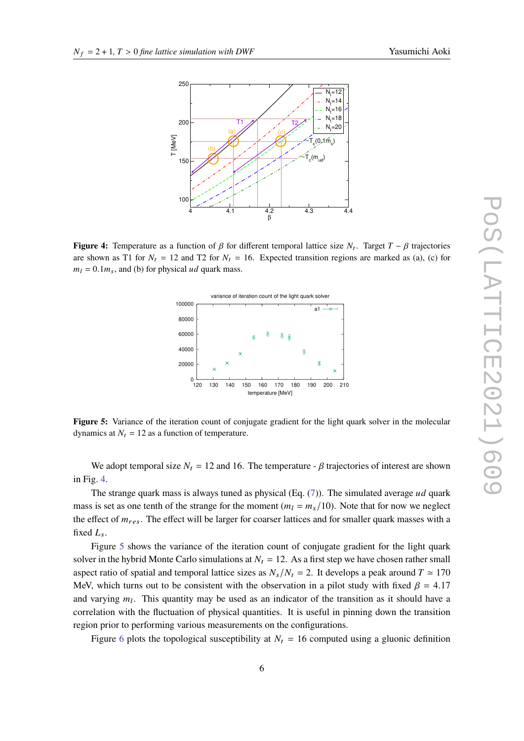<span id="page-5-0"></span>

<span id="page-5-1"></span>**Figure 4:** Temperature as a function of  $\beta$  for different temporal lattice size  $N_t$ . Target  $T - \beta$  trajectories are shown as T1 for  $N_t = 12$  and T2 for  $N_t = 16$ . Expected transition regions are marked as (a), (c) for  $m_l = 0.1 m_s$ , and (b) for physical *ud* quark mass.



**Figure 5:** Variance of the iteration count of conjugate gradient for the light quark solver in the molecular dynamics at  $N_t = 12$  as a function of temperature.

We adopt temporal size  $N_t = 12$  and 16. The temperature -  $\beta$  trajectories of interest are shown in Fig. [4.](#page-5-0)

The strange quark mass is always tuned as physical (Eq.  $(7)$ ). The simulated average ud quark mass is set as one tenth of the strange for the moment ( $m_l = m_s/10$ ). Note that for now we neglect the effect of  $m_{res}$ . The effect will be larger for coarser lattices and for smaller quark masses with a fixed  $L_s$ .

Figure [5](#page-5-1) shows the variance of the iteration count of conjugate gradient for the light quark solver in the hybrid Monte Carlo simulations at  $N_t = 12$ . As a first step we have chosen rather small aspect ratio of spatial and temporal lattice sizes as  $N_s/N_t = 2$ . It develops a peak around  $T \approx 170$ MeV, which turns out to be consistent with the observation in a pilot study with fixed  $\beta = 4.17$ and varying  $m_l$ . This quantity may be used as an indicator of the transition as it should have a correlation with the fluctuation of physical quantities. It is useful in pinning down the transition region prior to performing various measurements on the configurations.

Figure [6](#page-6-0) plots the topological susceptibility at  $N_t = 16$  computed using a gluonic definition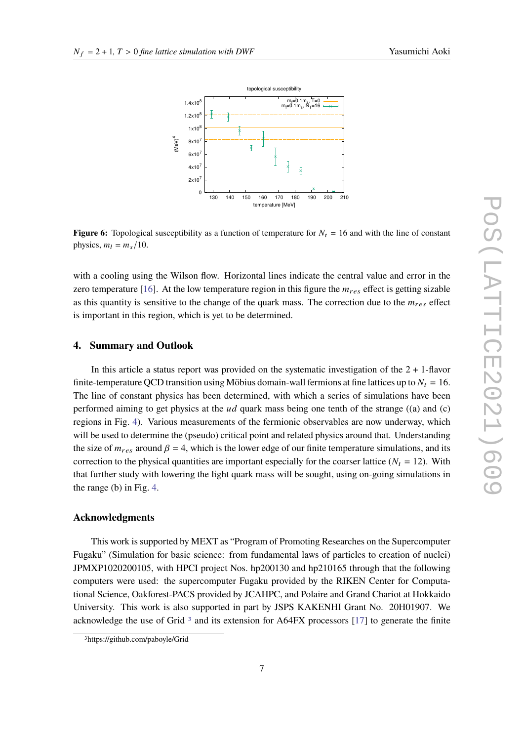

<span id="page-6-0"></span>

**Figure 6:** Topological susceptibility as a function of temperature for  $N_t = 16$  and with the line of constant physics,  $m_l = m_s/10$ .

with a cooling using the Wilson flow. Horizontal lines indicate the central value and error in the zero temperature [\[16\]](#page-8-2). At the low temperature region in this figure the  $m_{res}$  effect is getting sizable as this quantity is sensitive to the change of the quark mass. The correction due to the  $m_{res}$  effect is important in this region, which is yet to be determined.

## **4. Summary and Outlook**

In this article a status report was provided on the systematic investigation of the  $2 + 1$ -flavor finite-temperature QCD transition using Möbius domain-wall fermions at fine lattices up to  $N_t = 16$ . The line of constant physics has been determined, with which a series of simulations have been performed aiming to get physics at the  $ud$  quark mass being one tenth of the strange ((a) and (c) regions in Fig. [4\)](#page-5-0). Various measurements of the fermionic observables are now underway, which will be used to determine the (pseudo) critical point and related physics around that. Understanding the size of  $m_{res}$  around  $\beta = 4$ , which is the lower edge of our finite temperature simulations, and its correction to the physical quantities are important especially for the coarser lattice ( $N_t = 12$ ). With that further study with lowering the light quark mass will be sought, using on-going simulations in the range (b) in Fig. [4.](#page-5-0)

## **Acknowledgments**

This work is supported by MEXT as "Program of Promoting Researches on the Supercomputer Fugaku" (Simulation for basic science: from fundamental laws of particles to creation of nuclei) JPMXP1020200105, with HPCI project Nos. hp200130 and hp210165 through that the following computers were used: the supercomputer Fugaku provided by the RIKEN Center for Computational Science, Oakforest-PACS provided by JCAHPC, and Polaire and Grand Chariot at Hokkaido University. This work is also supported in part by JSPS KAKENHI Grant No. 20H01907. We acknowledge the use of Grid<sup>[3](#page-6-1)</sup> and its extension for A64FX processors [\[17\]](#page-8-3) to generate the finite

<span id="page-6-1"></span><sup>3</sup>https://github.com/paboyle/Grid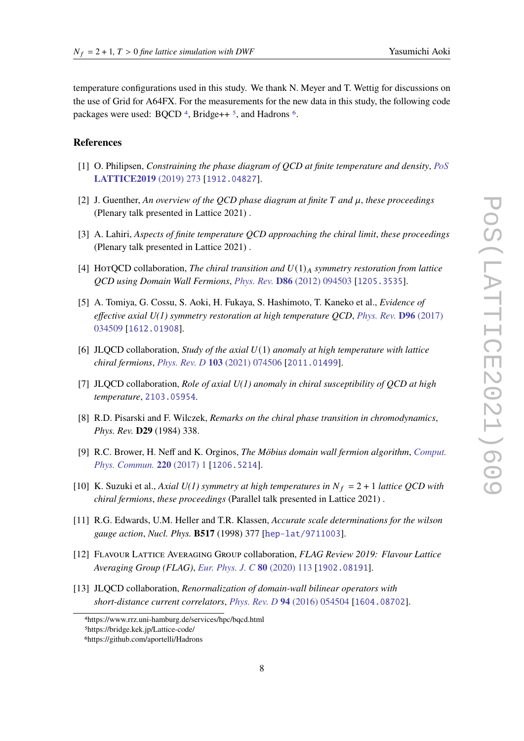temperature configurations used in this study. We thank N. Meyer and T. Wettig for discussions on the use of Grid for A64FX. For the measurements for the new data in this study, the following code packages were used: BQCD<sup>[4](#page-7-11)</sup>, Bridge++<sup>[5](#page-7-12)</sup>, and Hadrons<sup>[6](#page-7-13)</sup>.

## **References**

- <span id="page-7-0"></span>[1] O. Philipsen, *Constraining the phase diagram of QCD at finite temperature and density*, *[PoS](https://doi.org/10.22323/1.363.0273)* **[LATTICE2019](https://doi.org/10.22323/1.363.0273)** (2019) 273 [[1912.04827](https://arxiv.org/abs/1912.04827)].
- [2] J. Guenther, An overview of the QCD phase diagram at finite T and  $\mu$ , these proceedings (Plenary talk presented in Lattice 2021) .
- <span id="page-7-1"></span>[3] A. Lahiri, *Aspects of finite temperature QCD approaching the chiral limit*, *these proceedings* (Plenary talk presented in Lattice 2021) .
- <span id="page-7-2"></span>[4] HorQCD collaboration, *The chiral transition and*  $U(1)_A$  *symmetry restoration from lattice QCD using Domain Wall Fermions*, *Phys. Rev.* **D86** [\(2012\) 094503](https://doi.org/10.1103/PhysRevD.86.094503) [[1205.3535](https://arxiv.org/abs/1205.3535)].
- <span id="page-7-3"></span>[5] A. Tomiya, G. Cossu, S. Aoki, H. Fukaya, S. Hashimoto, T. Kaneko et al., *Evidence of effective axial U(1) symmetry restoration at high temperature QCD*, *[Phys. Rev.](https://doi.org/10.1103/PhysRevD.96.034509)* **D96** (2017) [034509](https://doi.org/10.1103/PhysRevD.96.034509) [[1612.01908](https://arxiv.org/abs/1612.01908)].
- [6] JLQCD collaboration, *Study of the axial U(1) anomaly at high temperature with lattice chiral fermions*, *[Phys. Rev. D](https://doi.org/10.1103/PhysRevD.103.074506)* **103** (2021) 074506 [[2011.01499](https://arxiv.org/abs/2011.01499)].
- <span id="page-7-4"></span>[7] JLQCD collaboration, *Role of axial U(1) anomaly in chiral susceptibility of QCD at high temperature*, [2103.05954](https://arxiv.org/abs/2103.05954).
- <span id="page-7-5"></span>[8] R.D. Pisarski and F. Wilczek, *Remarks on the chiral phase transition in chromodynamics*, *Phys. Rev.* **D29** (1984) 338.
- <span id="page-7-6"></span>[9] R.C. Brower, H. Neff and K. Orginos, *The Möbius domain wall fermion algorithm*, *[Comput.](https://doi.org/10.1016/j.cpc.2017.01.024) [Phys. Commun.](https://doi.org/10.1016/j.cpc.2017.01.024)* **220** (2017) 1 [[1206.5214](https://arxiv.org/abs/1206.5214)].
- <span id="page-7-7"></span>[10] K. Suzuki et al., *Axial U(1) symmetry at high temperatures in*  $N_f = 2 + 1$  *lattice QCD with chiral fermions*, *these proceedings* (Parallel talk presented in Lattice 2021) .
- <span id="page-7-8"></span>[11] R.G. Edwards, U.M. Heller and T.R. Klassen, *Accurate scale determinations for the wilson gauge action*, *Nucl. Phys.* **B517** (1998) 377 [[hep-lat/9711003](https://arxiv.org/abs/hep-lat/9711003)].
- <span id="page-7-9"></span>[12] Flavour Lattice Averaging Group collaboration, *FLAG Review 2019: Flavour Lattice Averaging Group (FLAG)*, *[Eur. Phys. J. C](https://doi.org/10.1140/epjc/s10052-019-7354-7)* **80** (2020) 113 [[1902.08191](https://arxiv.org/abs/1902.08191)].
- <span id="page-7-10"></span>[13] JLQCD collaboration, *Renormalization of domain-wall bilinear operators with short-distance current correlators*, *[Phys. Rev. D](https://doi.org/10.1103/PhysRevD.94.054504)* **94** (2016) 054504 [[1604.08702](https://arxiv.org/abs/1604.08702)].

<span id="page-7-11"></span><sup>4</sup>https://www.rrz.uni-hamburg.de/services/hpc/bqcd.html

<span id="page-7-12"></span><sup>5</sup>https://bridge.kek.jp/Lattice-code/

<span id="page-7-13"></span><sup>6</sup>https://github.com/aportelli/Hadrons